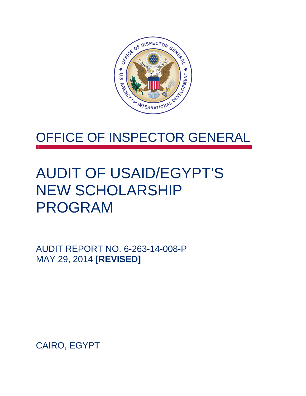

# OFFICE OF INSPECTOR GENERAL

# AUDIT OF USAID/EGYPT'S NEW SCHOLARSHIP PROGRAM

AUDIT REPORT NO. 6-263-14-008-P MAY 29, 2014 **[REVISED]**

CAIRO, EGYPT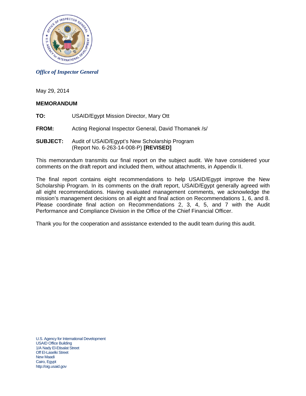

#### *Office of Inspector General*

May 29, 2014

#### **MEMORANDUM**

- **TO:** USAID/Egypt Mission Director, Mary Ott
- **FROM:** Acting Regional Inspector General, David Thomanek /s/
- **SUBJECT:** Audit of USAID/Egypt's New Scholarship Program (Report No. 6-263-14-008-P) **[REVISED]**

This memorandum transmits our final report on the subject audit. We have considered your comments on the draft report and included them, without attachments, in Appendix II.

The final report contains eight recommendations to help USAID/Egypt improve the New Scholarship Program. In its comments on the draft report, USAID/Egypt generally agreed with all eight recommendations. Having evaluated management comments, we acknowledge the mission's management decisions on all eight and final action on Recommendations 1, 6, and 8. Please coordinate final action on Recommendations 2, 3, 4, 5, and 7 with the Audit Performance and Compliance Division in the Office of the Chief Financial Officer.

Thank you for the cooperation and assistance extended to the audit team during this audit.

U.S. Agency for International Development USAID Office Building 1/A Nady El-Etisalat Street Off El-Laselki Street New Maadi Cairo, Egypt http://oig.usaid.gov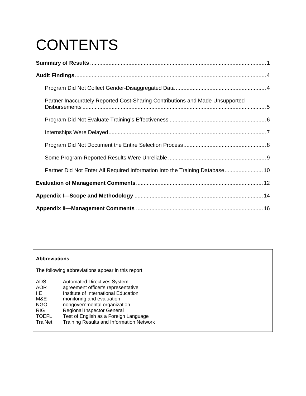# **CONTENTS**

| Partner Inaccurately Reported Cost-Sharing Contributions and Made Unsupported |  |
|-------------------------------------------------------------------------------|--|
|                                                                               |  |
|                                                                               |  |
|                                                                               |  |
|                                                                               |  |
| Partner Did Not Enter All Required Information Into the Training Database 10  |  |
|                                                                               |  |
|                                                                               |  |
|                                                                               |  |

## **Abbreviations**

The following abbreviations appear in this report:

| <b>ADS</b>   | <b>Automated Directives System</b>       |
|--------------|------------------------------------------|
| <b>AOR</b>   | agreement officer's representative       |
| IIE.         | Institute of International Education     |
| M&E          | monitoring and evaluation                |
| <b>NGO</b>   | nongovernmental organization             |
| <b>RIG</b>   | <b>Regional Inspector General</b>        |
| <b>TOEFL</b> | Test of English as a Foreign Language    |
| TraiNet      | Training Results and Information Network |
|              |                                          |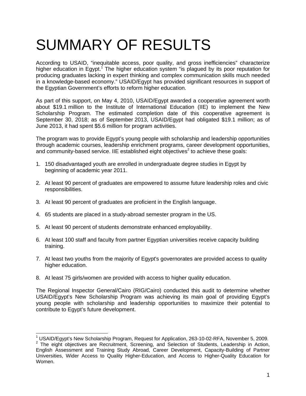# SUMMARY OF RESULTS

According to USAID, "inequitable access, poor quality, and gross inefficiencies" characterize higher education in Egypt.<sup>1</sup> The higher education system "is plagued by its poor reputation for producing graduates lacking in expert thinking and complex communication skills much needed in a knowledge-based economy." USAID/Egypt has provided significant resources in support of the Egyptian Government's efforts to reform higher education.

As part of this support, on May 4, 2010, USAID/Egypt awarded a cooperative agreement worth about \$19.1 million to the Institute of International Education (IIE) to implement the New Scholarship Program. The estimated completion date of this cooperative agreement is September 30, 2018; as of September 2013, USAID/Egypt had obligated \$19.1 million; as of June 2013, it had spent \$5.6 million for program activities.

The program was to provide Egypt's young people with scholarship and leadership opportunities through academic courses, leadership enrichment programs, career development opportunities, and community-based service. IIE established eight objectives<sup>2</sup> to achieve these goals:

- 1. 150 disadvantaged youth are enrolled in undergraduate degree studies in Egypt by beginning of academic year 2011.
- 2. At least 90 percent of graduates are empowered to assume future leadership roles and civic responsibilities.
- 3. At least 90 percent of graduates are proficient in the English language.
- 4. 65 students are placed in a study-abroad semester program in the US.
- 5. At least 90 percent of students demonstrate enhanced employability.
- 6. At least 100 staff and faculty from partner Egyptian universities receive capacity building training.
- 7. At least two youths from the majority of Egypt's governorates are provided access to quality higher education.
- 8. At least 75 girls/women are provided with access to higher quality education.

The Regional Inspector General/Cairo (RIG/Cairo) conducted this audit to determine whether USAID/Egypt's New Scholarship Program was achieving its main goal of providing Egypt's young people with scholarship and leadership opportunities to maximize their potential to contribute to Egypt's future development.

<sup>1&</sup>lt;br><sup>1</sup> USAID/Egypt's New Scholarship Program, Request for Application, 263-10-02-RFA, November 5, 2009.<br><sup>2</sup> The sight objectives are Respultment. Sergening, and Scleetian of Students, Leadership in Action. <sup>2</sup> The eight objectives are Recruitment, Screening, and Selection of Students, Leadership in Action, English Assessment and Training Study Abroad, Career Development, Capacity-Building of Partner Universities, Wider Access to Quality Higher-Education, and Access to Higher-Quality Education for Women.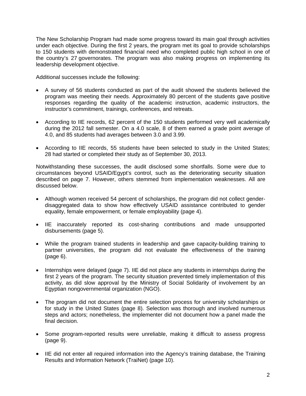The New Scholarship Program had made some progress toward its main goal through activities under each objective. During the first 2 years, the program met its goal to provide scholarships to 150 students with demonstrated financial need who completed public high school in one of the country's 27 governorates. The program was also making progress on implementing its leadership development objective.

Additional successes include the following:

- A survey of 56 students conducted as part of the audit showed the students believed the program was meeting their needs. Approximately 80 percent of the students gave positive responses regarding the quality of the academic instruction, academic instructors, the instructor's commitment, trainings, conferences, and retreats.
- According to IIE records, 62 percent of the 150 students performed very well academically during the 2012 fall semester. On a 4.0 scale, 8 of them earned a grade point average of 4.0, and 85 students had averages between 3.0 and 3.99.
- According to IIE records, 55 students have been selected to study in the United States; 28 had started or completed their study as of September 30, 2013.

Notwithstanding these successes, the audit disclosed some shortfalls. Some were due to circumstances beyond USAID/Egypt's control, such as the deteriorating security situation described on page 7. However, others stemmed from implementation weaknesses. All are discussed below.

- Although women received 54 percent of scholarships, the program did not collect genderdisaggregated data to show how effectively USAID assistance contributed to gender equality, female empowerment, or female employability (page 4).
- IIE inaccurately reported its cost-sharing contributions and made unsupported disbursements (page 5).
- While the program trained students in leadership and gave capacity-building training to partner universities, the program did not evaluate the effectiveness of the training (page 6).
- Internships were delayed (page 7). IIE did not place any students in internships during the first 2 years of the program. The security situation prevented timely implementation of this activity, as did slow approval by the Ministry of Social Solidarity of involvement by an Egyptian nongovernmental organization (NGO).
- The program did not document the entire selection process for university scholarships or for study in the United States (page 8). Selection was thorough and involved numerous steps and actors; nonetheless, the implementer did not document how a panel made the final decision.
- Some program-reported results were unreliable, making it difficult to assess progress (page 9).
- IIE did not enter all required information into the Agency's training database, the Training Results and Information Network (TraiNet) (page 10).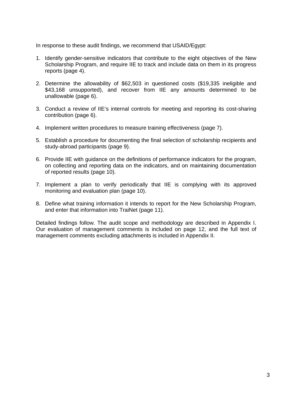In response to these audit findings, we recommend that USAID/Egypt:

- 1. Identify gender-sensitive indicators that contribute to the eight objectives of the New Scholarship Program, and require IIE to track and include data on them in its progress reports (page 4).
- 2. Determine the allowability of \$62,503 in questioned costs (\$19,335 ineligible and \$43,168 unsupported), and recover from IIE any amounts determined to be unallowable (page 6).
- 3. Conduct a review of IIE's internal controls for meeting and reporting its cost-sharing contribution (page 6).
- 4. Implement written procedures to measure training effectiveness (page 7).
- 5. Establish a procedure for documenting the final selection of scholarship recipients and study-abroad participants (page 9).
- 6. Provide IIE with guidance on the definitions of performance indicators for the program, on collecting and reporting data on the indicators, and on maintaining documentation of reported results (page 10).
- 7. Implement a plan to verify periodically that IIE is complying with its approved monitoring and evaluation plan (page 10).
- 8. Define what training information it intends to report for the New Scholarship Program, and enter that information into TraiNet (page 11).

Detailed findings follow. The audit scope and methodology are described in Appendix I. Our evaluation of management comments is included on page 12, and the full text of management comments excluding attachments is included in Appendix II.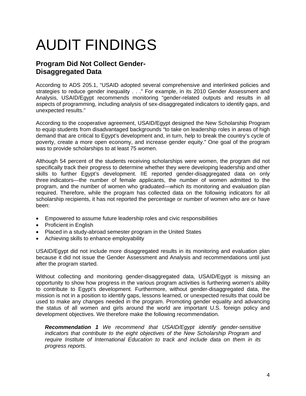# AUDIT FINDINGS

# **Program Did Not Collect Gender-Disaggregated Data**

According to ADS 205.1, "USAID adopted several comprehensive and interlinked policies and strategies to reduce gender inequality . . ." For example, in its 2010 Gender Assessment and Analysis, USAID/Egypt recommends monitoring "gender-related outputs and results in all aspects of programming, including analysis of sex-disaggregated indicators to identify gaps, and unexpected results."

According to the cooperative agreement, USAID/Egypt designed the New Scholarship Program to equip students from disadvantaged backgrounds "to take on leadership roles in areas of high demand that are critical to Egypt's development and, in turn, help to break the country's cycle of poverty, create a more open economy, and increase gender equity." One goal of the program was to provide scholarships to at least 75 women.

Although 54 percent of the students receiving scholarships were women, the program did not specifically track their progress to determine whether they were developing leadership and other skills to further Egypt's development. IIE reported gender-disaggregated data on only three indicators—the number of female applicants, the number of women admitted to the program, and the number of women who graduated—which its monitoring and evaluation plan required. Therefore, while the program has collected data on the following indicators for all scholarship recipients, it has not reported the percentage or number of women who are or have been:

- Empowered to assume future leadership roles and civic responsibilities
- Proficient in English
- Placed in a study-abroad semester program in the United States
- Achieving skills to enhance employability

USAID/Egypt did not include more disaggregated results in its monitoring and evaluation plan because it did not issue the Gender Assessment and Analysis and recommendations until just after the program started.

Without collecting and monitoring gender-disaggregated data, USAID/Egypt is missing an opportunity to show how progress in the various program activities is furthering women's ability to contribute to Egypt's development. Furthermore, without gender-disaggregated data, the mission is not in a position to identify gaps, lessons learned, or unexpected results that could be used to make any changes needed in the program. Promoting gender equality and advancing the status of all women and girls around the world are important U.S. foreign policy and development objectives. We therefore make the following recommendation.

*Recommendation 1 We recommend that USAID/Egypt identify gender-sensitive indicators that contribute to the eight objectives of the New Scholarship Program and require Institute of International Education to track and include data on them in its progress reports*.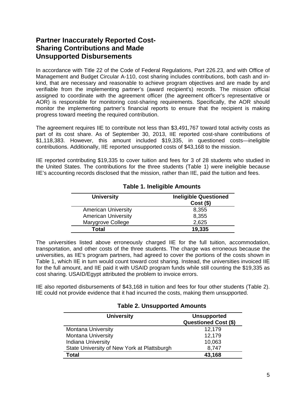# **Partner Inaccurately Reported Cost-Sharing Contributions and Made Unsupported Disbursements**

In accordance with Title 22 of the Code of Federal Regulations, Part 226.23, and with Office of Management and Budget Circular A-110, cost sharing includes contributions, both cash and inkind, that are necessary and reasonable to achieve program objectives and are made by and verifiable from the implementing partner's (award recipient's) records. The mission official assigned to coordinate with the agreement officer (the agreement officer's representative or AOR) is responsible for monitoring cost-sharing requirements. Specifically, the AOR should monitor the implementing partner's financial reports to ensure that the recipient is making progress toward meeting the required contribution.

The agreement requires IIE to contribute not less than \$3,491,767 toward total activity costs as part of its cost share. As of September 30, 2013, IIE reported cost-share contributions of \$1,118,383. However, this amount included \$19,335, in questioned costs—ineligible contributions. Additionally, IIE reported unsupported costs of \$43,168 to the mission.

IIE reported contributing \$19,335 to cover tuition and fees for 3 of 28 students who studied in the United States. The contributions for the three students (Table 1) were ineligible because IIE's accounting records disclosed that the mission, rather than IIE, paid the tuition and fees.

| <b>University</b>          | <b>Ineligible Questioned</b><br>$Cost($ \$) |
|----------------------------|---------------------------------------------|
| <b>American University</b> | 8,355                                       |
| <b>American University</b> | 8,355                                       |
| Marygrove College          | 2,625                                       |
| Total                      | 19,335                                      |

## **Table 1. Ineligible Amounts**

The universities listed above erroneously charged IIE for the full tuition, accommodation, transportation, and other costs of the three students. The charge was erroneous because the universities, as IIE's program partners, had agreed to cover the portions of the costs shown in Table 1, which IIE in turn would count toward cost sharing. Instead, the universities invoiced IIE for the full amount, and IIE paid it with USAID program funds while still counting the \$19,335 as cost sharing. USAID/Egypt attributed the problem to invoice errors.

IIE also reported disbursements of \$43,168 in tuition and fees for four other students (Table 2). IIE could not provide evidence that it had incurred the costs, making them unsupported.

| <b>University</b>                           | <b>Unsupported</b><br><b>Questioned Cost (\$)</b> |
|---------------------------------------------|---------------------------------------------------|
| <b>Montana University</b>                   | 12,179                                            |
| <b>Montana University</b>                   | 12,179                                            |
| <b>Indiana University</b>                   | 10,063                                            |
| State University of New York at Plattsburgh | 8,747                                             |
| Total                                       | 43,168                                            |

#### **Table 2. Unsupported Amounts**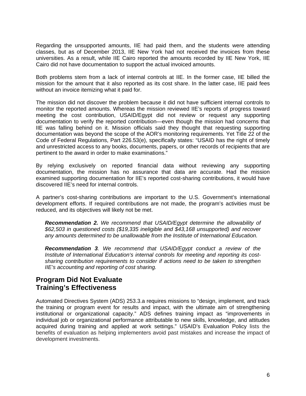Regarding the unsupported amounts, IIE had paid them, and the students were attending classes, but as of December 2013, IIE New York had not received the invoices from these universities. As a result, while IIE Cairo reported the amounts recorded by IIE New York, IIE Cairo did not have documentation to support the actual invoiced amounts.

Both problems stem from a lack of internal controls at IIE. In the former case, IIE billed the mission for the amount that it also reported as its cost share. In the latter case, IIE paid fees without an invoice itemizing what it paid for.

The mission did not discover the problem because it did not have sufficient internal controls to monitor the reported amounts. Whereas the mission reviewed IIE's reports of progress toward meeting the cost contribution, USAID/Egypt did not review or request any supporting documentation to verify the reported contribution—even though the mission had concerns that IIE was falling behind on it. Mission officials said they thought that requesting supporting documentation was beyond the scope of the AOR's monitoring requirements. Yet Title 22 of the Code of Federal Regulations, Part 226.53(e), specifically states: "USAID has the right of timely and unrestricted access to any books, documents, papers, or other records of recipients that are pertinent to the award in order to make examinations."

By relying exclusively on reported financial data without reviewing any supporting documentation, the mission has no assurance that data are accurate. Had the mission examined supporting documentation for IIE's reported cost-sharing contributions, it would have discovered IIE's need for internal controls.

A partner's cost-sharing contributions are important to the U.S. Government's international development efforts. If required contributions are not made, the program's activities must be reduced, and its objectives will likely not be met.

*Recommendation 2. We recommend that USAID/Egypt determine the allowability of \$62,503 in questioned costs (\$19,335 ineligible and \$43,168 unsupported) and recover any amounts determined to be unallowable from the Institute of International Education.*

*Recommendation 3. We recommend that USAID/Egypt conduct a review of the Institute of International Education's internal controls for meeting and reporting its costsharing contribution requirements to consider if actions need to be taken to strengthen IIE's accounting and reporting of cost sharing.* 

## **Program Did Not Evaluate Training's Effectiveness**

Automated Directives System (ADS) 253.3.a requires missions to "design, implement, and track the training or program event for results and impact, with the ultimate aim of strengthening institutional or organizational capacity." ADS defines training impact as "improvements in individual job or organizational performance attributable to new skills, knowledge, and attitudes acquired during training and applied at work settings." USAID's Evaluation Policy lists the benefits of evaluation as helping implementers avoid past mistakes and increase the impact of development investments.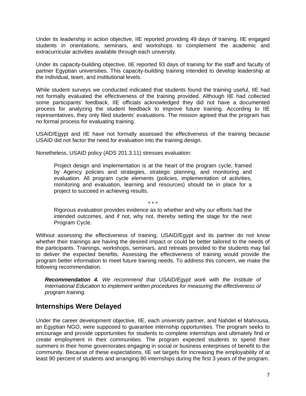Under its leadership in action objective, IIE reported providing 49 days of training. IIE engaged students in orientations, seminars, and workshops to complement the academic and extracurricular activities available through each university.

Under its capacity-building objective, IIE reported 93 days of training for the staff and faculty of partner Egyptian universities. This capacity-building training intended to develop leadership at the individual, team, and institutional levels.

While student surveys we conducted indicated that students found the training useful, IIE had not formally evaluated the effectiveness of the training provided. Although IIE had collected some participants' feedback, IIE officials acknowledged they did not have a documented process for analyzing the student feedback to improve future training. According to IIE representatives, they only filed students' evaluations. The mission agreed that the program has no formal process for evaluating training.

USAID/Egypt and IIE have not formally assessed the effectiveness of the training because USAID did not factor the need for evaluation into the training design.

Nonetheless, USAID policy (ADS 201.3.11) stresses evaluation:

Project design and implementation is at the heart of the program cycle, framed by Agency policies and strategies, strategic planning, and monitoring and evaluation. All program cycle elements (policies, implementation of activities, monitoring and evaluation, learning and resources) should be in place for a project to succeed in achieving results.

Rigorous evaluation provides evidence as to whether and why our efforts had the intended outcomes, and if not, why not, thereby setting the stage for the next Program Cycle.

\* \* \*

Without assessing the effectiveness of training, USAID/Egypt and its partner do not know whether their trainings are having the desired impact or could be better tailored to the needs of the participants. Trainings, workshops, seminars, and retreats provided to the students may fail to deliver the expected benefits. Assessing the effectiveness of training would provide the program better information to meet future training needs. To address this concern, we make the following recommendation.

*Recommendation 4. We recommend that USAID/Egypt work with the Institute of International Education to implement written procedures for measuring the effectiveness of program training.* 

# **Internships Were Delayed**

Under the career development objective, IIE, each university partner, and Nahdet el Mahrousa, an Egyptian NGO, were supposed to guarantee internship opportunities. The program seeks to encourage and provide opportunities for students to complete internships and ultimately find or create employment in their communities. The program expected students to spend their summers in their home governorates engaging in social or business enterprises of benefit to the community. Because of these expectations, IIE set targets for increasing the employability of at least 90 percent of students and arranging 80 internships during the first 3 years of the program.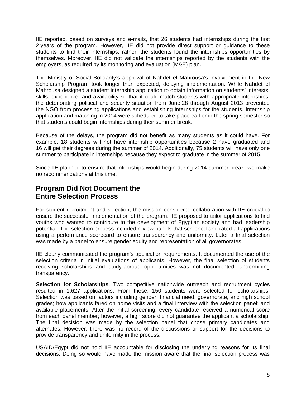IIE reported, based on surveys and e-mails, that 26 students had internships during the first 2 years of the program. However, IIE did not provide direct support or guidance to these students to find their internships; rather, the students found the internships opportunities by themselves. Moreover, IIE did not validate the internships reported by the students with the employers, as required by its monitoring and evaluation (M&E) plan.

The Ministry of Social Solidarity's approval of Nahdet el Mahrousa's involvement in the New Scholarship Program took longer than expected, delaying implementation. While Nahdet el Mahrousa designed a student internship application to obtain information on students' interests, skills, experience, and availability so that it could match students with appropriate internships, the deteriorating political and security situation from June 28 through August 2013 prevented the NGO from processing applications and establishing internships for the students. Internship application and matching in 2014 were scheduled to take place earlier in the spring semester so that students could begin internships during their summer break.

Because of the delays, the program did not benefit as many students as it could have. For example, 18 students will not have internship opportunities because 2 have graduated and 16 will get their degrees during the summer of 2014. Additionally, 75 students will have only one summer to participate in internships because they expect to graduate in the summer of 2015.

Since IIE planned to ensure that internships would begin during 2014 summer break, we make no recommendations at this time.

## **Program Did Not Document the Entire Selection Process**

For student recruitment and selection, the mission considered collaboration with IIE crucial to ensure the successful implementation of the program. IIE proposed to tailor applications to find youths who wanted to contribute to the development of Egyptian society and had leadership potential. The selection process included review panels that screened and rated all applications using a performance scorecard to ensure transparency and uniformity. Later a final selection was made by a panel to ensure gender equity and representation of all governorates.

IIE clearly communicated the program's application requirements. It documented the use of the selection criteria in initial evaluations of applicants. However, the final selection of students receiving scholarships and study-abroad opportunities was not documented, undermining transparency.

**Selection for Scholarships**. Two competitive nationwide outreach and recruitment cycles resulted in 1,627 applications. From these, 150 students were selected for scholarships. Selection was based on factors including gender, financial need, governorate, and high school grades; how applicants fared on home visits and a final interview with the selection panel; and available placements. After the initial screening, every candidate received a numerical score from each panel member; however, a high score did not guarantee the applicant a scholarship. The final decision was made by the selection panel that chose primary candidates and alternates. However, there was no record of the discussions or support for the decisions to provide transparency and uniformity in the process.

USAID/Egypt did not hold IIE accountable for disclosing the underlying reasons for its final decisions. Doing so would have made the mission aware that the final selection process was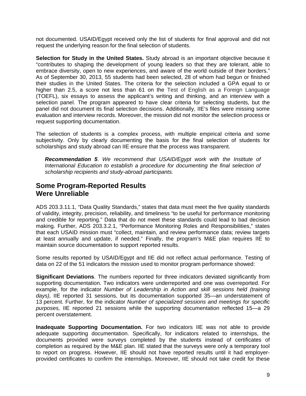not documented. USAID/Egypt received only the list of students for final approval and did not request the underlying reason for the final selection of students.

**Selection for Study in the United States.** Study abroad is an important objective because it "contributes to shaping the development of young leaders so that they are tolerant, able to embrace diversity, open to new experiences, and aware of the world outside of their borders." As of September 30, 2013, 55 students had been selected, 28 of whom had begun or finished their studies in the United States. The criteria for the selection included a GPA equal to or higher than 2.5, a score not less than 61 on the Test of English as a Foreign Language (TOEFL), six essays to assess the applicant's writing and thinking, and an interview with a selection panel. The program appeared to have clear criteria for selecting students, but the panel did not document its final selection decisions. Additionally, IIE's files were missing some evaluation and interview records. Moreover, the mission did not monitor the selection process or request supporting documentation.

The selection of students is a complex process, with multiple empirical criteria and some subjectivity. Only by clearly documenting the basis for the final selection of students for scholarships and study abroad can IIE ensure that the process was transparent.

*Recommendation 5. We recommend that USAID/Egypt work with the Institute of International Education to establish a procedure for documenting the final selection of scholarship recipients and study-abroad participants.*

## **Some Program-Reported Results Were Unreliable**

ADS 203.3.11.1, "Data Quality Standards," states that data must meet the five quality standards of validity, integrity, precision, reliability, and timeliness "to be useful for performance monitoring and credible for reporting." Data that do not meet these standards could lead to bad decision making. Further, ADS 203.3.2.1, "Performance Monitoring Roles and Responsibilities," states that each USAID mission must "collect, maintain, and review performance data; review targets at least annually and update, if needed." Finally, the program's M&E plan requires IIE to maintain source documentation to support reported results.

Some results reported by USAID/Egypt and IIE did not reflect actual performance. Testing of data on 22 of the 51 indicators the mission used to monitor program performance showed:

**Significant Deviations**. The numbers reported for three indicators deviated significantly from supporting documentation. Two indicators were underreported and one was overreported. For example, for the indicator *Number of Leadership in Action and skill sessions held (training days),* IIE reported 31 sessions, but its documentation supported 35—an understatement of 13 percent. Further, for the indicator *Number of specialized sessions and meetings for specific purposes,* IIE reported 21 sessions while the supporting documentation reflected 15—a 29 percent overstatement.

**Inadequate Supporting Documentation.** For two indicators IIE was not able to provide adequate supporting documentation. Specifically, for indicators related to internships, the documents provided were surveys completed by the students instead of certificates of completion as required by the M&E plan. IIE stated that the surveys were only a temporary tool to report on progress. However, IIE should not have reported results until it had employerprovided certificates to confirm the internships. Moreover, IIE should not take credit for these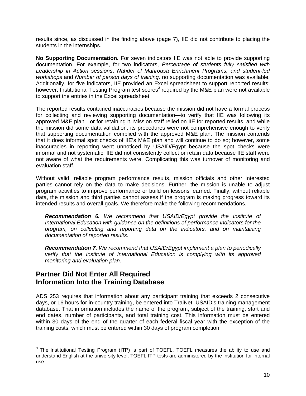results since, as discussed in the finding above (page 7), IIE did not contribute to placing the students in the internships.

**No Supporting Documentation.** For seven indicators IIE was not able to provide supporting documentation. For example, for two indicators, *Percentage of students fully satisfied with Leadership in Action sessions*, *Nahdet el Mahrousa Enrichment Programs, and student-led workshops* and *Number of person days of training,* no supporting documentation was available. Additionally, for five indicators, IIE provided an Excel spreadsheet to support reported results; however, Institutional Testing Program test scores<sup>3</sup> required by the M&E plan were not available to support the entries in the Excel spreadsheet.

The reported results contained inaccuracies because the mission did not have a formal process for collecting and reviewing supporting documentation—to verify that IIE was following its approved M&E plan—or for retaining it. Mission staff relied on IIE for reported results, and while the mission did some data validation, its procedures were not comprehensive enough to verify that supporting documentation complied with the approved M&E plan. The mission contends that it does informal spot checks of IIE's M&E plan and will continue to do so; however, some inaccuracies in reporting went unnoticed by USAID/Egypt because the spot checks were informal and not systematic. IIE did not consistently collect or retain data because IIE staff were not aware of what the requirements were. Complicating this was turnover of monitoring and evaluation staff.

Without valid, reliable program performance results, mission officials and other interested parties cannot rely on the data to make decisions. Further, the mission is unable to adjust program activities to improve performance or build on lessons learned. Finally, without reliable data, the mission and third parties cannot assess if the program is making progress toward its intended results and overall goals. We therefore make the following recommendations.

*Recommendation 6. We recommend that USAID/Egypt provide the Institute of International Education with guidance on the definitions of performance indicators for the program, on collecting and reporting data on the indicators, and on maintaining documentation of reported results.* 

*Recommendation 7. We recommend that USAID/Egypt implement a plan to periodically verify that the Institute of International Education is complying with its approved monitoring and evaluation plan.* 

# **Partner Did Not Enter All Required Information Into the Training Database**

ADS 253 requires that information about any participant training that exceeds 2 consecutive days, or 16 hours for in-country training, be entered into TraiNet, USAID's training management database. That information includes the name of the program, subject of the training, start and end dates, number of participants, and total training cost. This information must be entered within 30 days of the end of the quarter of each federal fiscal year with the exception of the training costs, which must be entered within 30 days of program completion.

 $3$  The Institutional Testing Program (ITP) is part of TOEFL. TOEFL measures the ability to use and understand English at the university level; TOEFL ITP tests are administered by the institution for internal use.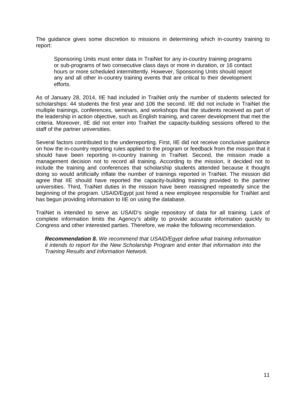The guidance gives some discretion to missions in determining which in-country training to report:

Sponsoring Units must enter data in TraiNet for any in-country training programs or sub-programs of two consecutive class days or more in duration, or 16 contact hours or more scheduled intermittently. However, Sponsoring Units should report any and all other in-country training events that are critical to their development efforts.

As of January 28, 2014, IIE had included in TraiNet only the number of students selected for scholarships: 44 students the first year and 106 the second. IIE did not include in TraiNet the multiple trainings, conferences, seminars, and workshops that the students received as part of the leadership in action objective, such as English training, and career development that met the criteria. Moreover, IIE did not enter into TraiNet the capacity-building sessions offered to the staff of the partner universities.

Several factors contributed to the underreporting. First, IIE did not receive conclusive guidance on how the in-country reporting rules applied to the program or feedback from the mission that it should have been reporting in-country training in TraiNet. Second, the mission made a management decision not to record all training. According to the mission, it decided not to include the training and conferences that scholarship students attended because it thought doing so would artificially inflate the number of trainings reported in TraiNet. The mission did agree that IIE should have reported the capacity-building training provided to the partner universities. Third, TraiNet duties in the mission have been reassigned repeatedly since the beginning of the program. USAID/Egypt just hired a new employee responsible for TraiNet and has begun providing information to IIE on using the database.

TraiNet is intended to serve as USAID's single repository of data for all training. Lack of complete information limits the Agency's ability to provide accurate information quickly to Congress and other interested parties. Therefore, we make the following recommendation.

*Recommendation 8. We recommend that USAID/Egypt define what training information it intends to report for the New Scholarship Program and enter that information into the Training Results and Information Network.*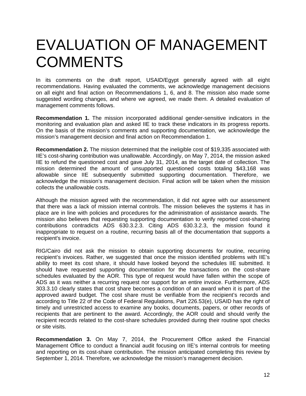# EVALUATION OF MANAGEMENT **COMMENTS**

In its comments on the draft report, USAID/Egypt generally agreed with all eight recommendations. Having evaluated the comments, we acknowledge management decisions on all eight and final action on Recommendations 1, 6, and 8. The mission also made some suggested wording changes, and where we agreed, we made them. A detailed evaluation of management comments follows.

**Recommendation 1.** The mission incorporated additional gender-sensitive indicators in the monitoring and evaluation plan and asked IIE to track these indicators in its progress reports. On the basis of the mission's comments and supporting documentation, we acknowledge the mission's management decision and final action on Recommendation 1.

**Recommendation 2.** The mission determined that the ineligible cost of \$19,335 associated with IIE's cost-sharing contribution was unallowable. Accordingly, on May 7, 2014, the mission asked IIE to refund the questioned cost and gave July 31, 2014, as the target date of collection. The mission determined the amount of unsupported questioned costs totaling \$43,168 was allowable since IIE subsequently submitted supporting documentation. Therefore, we acknowledge the mission's management decision. Final action will be taken when the mission collects the unallowable costs.

Although the mission agreed with the recommendation, it did not agree with our assessment that there was a lack of mission internal controls. The mission believes the systems it has in place are in line with policies and procedures for the administration of assistance awards. The mission also believes that requesting supporting documentation to verify reported cost-sharing contributions contradicts ADS 630.3.2.3. Citing ADS 630.3.2.3, the mission found it inappropriate to request on a routine, recurring basis all of the documentation that supports a recipient's invoice.

RIG/Cairo did not ask the mission to obtain supporting documents for routine, recurring recipient's invoices. Rather, we suggested that once the mission identified problems with IIE's ability to meet its cost share, it should have looked beyond the schedules IIE submitted. It should have requested supporting documentation for the transactions on the cost-share schedules evaluated by the AOR. This type of request would have fallen within the scope of ADS as it was neither a recurring request nor support for an entire invoice. Furthermore, ADS 303.3.10 clearly states that cost share becomes a condition of an award when it is part of the approved award budget. The cost share must be verifiable from the recipient's records and according to Title 22 of the Code of Federal Regulations, Part 226.53(e), USAID has the right of timely and unrestricted access to examine any books, documents, papers, or other records of recipients that are pertinent to the award. Accordingly, the AOR could and should verify the recipient records related to the cost-share schedules provided during their routine spot checks or site visits.

**Recommendation 3.** On May 7, 2014, the Procurement Office asked the Financial Management Office to conduct a financial audit focusing on IIE's internal controls for meeting and reporting on its cost-share contribution. The mission anticipated completing this review by September 1, 2014. Therefore, we acknowledge the mission's management decision.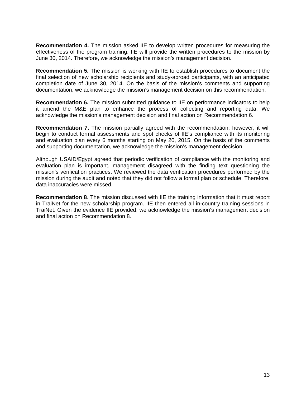**Recommendation 4.** The mission asked IIE to develop written procedures for measuring the effectiveness of the program training. IIE will provide the written procedures to the mission by June 30, 2014. Therefore, we acknowledge the mission's management decision.

**Recommendation 5.** The mission is working with IIE to establish procedures to document the final selection of new scholarship recipients and study-abroad participants, with an anticipated completion date of June 30, 2014. On the basis of the mission's comments and supporting documentation, we acknowledge the mission's management decision on this recommendation.

**Recommendation 6.** The mission submitted guidance to IIE on performance indicators to help it amend the M&E plan to enhance the process of collecting and reporting data. We acknowledge the mission's management decision and final action on Recommendation 6.

**Recommendation 7.** The mission partially agreed with the recommendation; however, it will begin to conduct formal assessments and spot checks of IIE's compliance with its monitoring and evaluation plan every 6 months starting on May 20, 2015. On the basis of the comments and supporting documentation, we acknowledge the mission's management decision.

Although USAID/Egypt agreed that periodic verification of compliance with the monitoring and evaluation plan is important, management disagreed with the finding text questioning the mission's verification practices. We reviewed the data verification procedures performed by the mission during the audit and noted that they did not follow a formal plan or schedule. Therefore, data inaccuracies were missed.

**Recommendation 8**. The mission discussed with IIE the training information that it must report in TraiNet for the new scholarship program. IIE then entered all in-country training sessions in TraiNet. Given the evidence IIE provided, we acknowledge the mission's management decision and final action on Recommendation 8.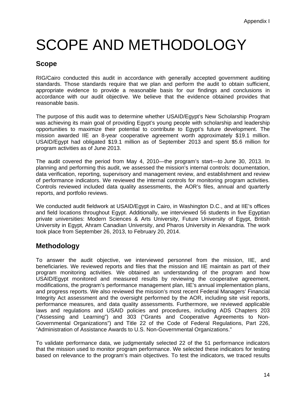# SCOPE AND METHODOLOGY

# **Scope**

RIG/Cairo conducted this audit in accordance with generally accepted government auditing standards. Those standards require that we plan and perform the audit to obtain sufficient, appropriate evidence to provide a reasonable basis for our findings and conclusions in accordance with our audit objective. We believe that the evidence obtained provides that reasonable basis.

The purpose of this audit was to determine whether USAID/Egypt's New Scholarship Program was achieving its main goal of providing Egypt's young people with scholarship and leadership opportunities to maximize their potential to contribute to Egypt's future development. The mission awarded IIE an 8-year cooperative agreement worth approximately \$19.1 million. USAID/Egypt had obligated \$19.1 million as of September 2013 and spent \$5.6 million for program activities as of June 2013.

The audit covered the period from May 4, 2010—the program's start—to June 30, 2013. In planning and performing this audit, we assessed the mission's internal controls: documentation, data verification, reporting, supervisory and management review, and establishment and review of performance indicators. We reviewed the internal controls for monitoring program activities. Controls reviewed included data quality assessments, the AOR's files, annual and quarterly reports, and portfolio reviews.

We conducted audit fieldwork at USAID/Egypt in Cairo, in Washington D.C., and at IIE's offices and field locations throughout Egypt. Additionally, we interviewed 56 students in five Egyptian private universities: Modern Sciences & Arts University, Future University of Egypt, British University in Egypt, Ahram Canadian University, and Pharos University in Alexandria. The work took place from September 26, 2013, to February 20, 2014.

# **Methodology**

To answer the audit objective, we interviewed personnel from the mission, IIE, and beneficiaries. We reviewed reports and files that the mission and IIE maintain as part of their program monitoring activities. We obtained an understanding of the program and how USAID/Egypt monitored and measured results by reviewing the cooperative agreement, modifications, the program's performance management plan, IIE's annual implementation plans, and progress reports. We also reviewed the mission's most recent Federal Managers' Financial Integrity Act assessment and the oversight performed by the AOR, including site visit reports, performance measures, and data quality assessments. Furthermore, we reviewed applicable laws and regulations and USAID policies and procedures, including ADS Chapters 203 ("Assessing and Learning") and 303 ("Grants and Cooperative Agreements to Non-Governmental Organizations") and Title 22 of the Code of Federal Regulations, Part 226, "Administration of Assistance Awards to U.S. Non-Governmental Organizations."

To validate performance data, we judgmentally selected 22 of the 51 performance indicators that the mission used to monitor program performance. We selected these indicators for testing based on relevance to the program's main objectives. To test the indicators, we traced results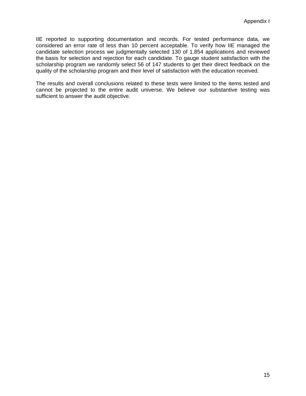IIE reported to supporting documentation and records. For tested performance data, we considered an error rate of less than 10 percent acceptable. To verify how IIE managed the candidate selection process we judgmentally selected 130 of 1,854 applications and reviewed the basis for selection and rejection for each candidate. To gauge student satisfaction with the scholarship program we randomly select 56 of 147 students to get their direct feedback on the quality of the scholarship program and their level of satisfaction with the education received.

The results and overall conclusions related to these tests were limited to the items tested and cannot be projected to the entire audit universe. We believe our substantive testing was sufficient to answer the audit objective.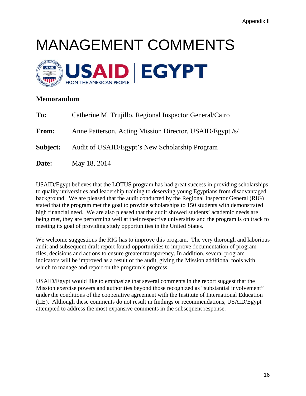# MANAGEMENT COMMENTS



## **Memorandum**

| To:          | Catherine M. Trujillo, Regional Inspector General/Cairo  |
|--------------|----------------------------------------------------------|
| <b>From:</b> | Anne Patterson, Acting Mission Director, USAID/Egypt /s/ |
| Subject:     | Audit of USAID/Egypt's New Scholarship Program           |
| Date:        | May 18, 2014                                             |

USAID/Egypt believes that the LOTUS program has had great success in providing scholarships to quality universities and leadership training to deserving young Egyptians from disadvantaged background. We are pleased that the audit conducted by the Regional Inspector General (RIG) stated that the program met the goal to provide scholarships to 150 students with demonstrated high financial need. We are also pleased that the audit showed students' academic needs are being met, they are performing well at their respective universities and the program is on track to meeting its goal of providing study opportunities in the United States.

We welcome suggestions the RIG has to improve this program. The very thorough and laborious audit and subsequent draft report found opportunities to improve documentation of program files, decisions and actions to ensure greater transparency. In addition, several program indicators will be improved as a result of the audit, giving the Mission additional tools with which to manage and report on the program's progress.

USAID/Egypt would like to emphasize that several comments in the report suggest that the Mission exercise powers and authorities beyond those recognized as "substantial involvement" under the conditions of the cooperative agreement with the Institute of International Education (IIE). Although these comments do not result in findings or recommendations, USAID/Egypt attempted to address the most expansive comments in the subsequent response.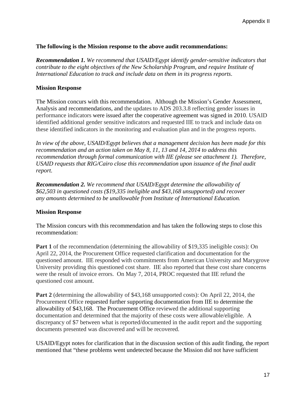### **The following is the Mission response to the above audit recommendations:**

*Recommendation 1. We recommend that USAID/Egypt identify gender-sensitive indicators that contribute to the eight objectives of the New Scholarship Program, and require Institute of International Education to track and include data on them in its progress reports*.

### **Mission Response**

The Mission concurs with this recommendation. Although the Mission's Gender Assessment, Analysis and recommendations, and the updates to ADS 203.3.8 reflecting gender issues in performance indicators were issued after the cooperative agreement was signed in 2010. USAID identified additional gender sensitive indicators and requested IIE to track and include data on these identified indicators in the monitoring and evaluation plan and in the progress reports.

*In view of the above, USAID/Egypt believes that a management decision has been made for this recommendation and an action taken on May 8, 11, 13 and 14, 2014 to address this recommendation through formal communication with IIE (please see attachment 1). Therefore, USAID requests that RIG/Cairo close this recommendation upon issuance of the final audit report.*

*Recommendation 2. We recommend that USAID/Egypt determine the allowability of \$62,503 in questioned costs (\$19,335 ineligible and \$43,168 unsupported) and recover any amounts determined to be unallowable from Institute of International Education.* 

### **Mission Response**

The Mission concurs with this recommendation and has taken the following steps to close this recommendation:

**Part 1** of the recommendation (determining the allowability of \$19,335 ineligible costs): On April 22, 2014, the Procurement Office requested clarification and documentation for the questioned amount. IIE responded with commitments from American University and Marygrove University providing this questioned cost share. IIE also reported that these cost share concerns were the result of invoice errors. On May 7, 2014, PROC requested that IIE refund the questioned cost amount.

**Part 2** (determining the allowability of \$43,168 unsupported costs): On April 22, 2014, the Procurement Office requested further supporting documentation from IIE to determine the allowability of \$43,168. The Procurement Office reviewed the additional supporting documentation and determined that the majority of these costs were allowable/eligible. A discrepancy of \$7 between what is reported/documented in the audit report and the supporting documents presented was discovered and will be recovered.

USAID/Egypt notes for clarification that in the discussion section of this audit finding, the report mentioned that "these problems went undetected because the Mission did not have sufficient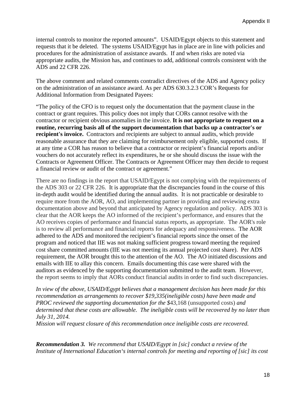internal controls to monitor the reported amounts". USAID/Egypt objects to this statement and requests that it be deleted. The systems USAID/Egypt has in place are in line with policies and procedures for the administration of assistance awards. If and when risks are noted via appropriate audits, the Mission has, and continues to add, additional controls consistent with the ADS and 22 CFR 226.

The above comment and related comments contradict directives of the ADS and Agency policy on the administration of an assistance award. As per ADS 630.3.2.3 COR's Requests for Additional Information from Designated Payees:

"The policy of the CFO is to request only the documentation that the payment clause in the contract or grant requires. This policy does not imply that CORs cannot resolve with the contractor or recipient obvious anomalies in the invoice. **It is not appropriate to request on a routine, recurring basis all of the support documentation that backs up a contractor's or recipient's invoice.** Contractors and recipients are subject to annual audits, which provide reasonable assurance that they are claiming for reimbursement only eligible, supported costs. If at any time a COR has reason to believe that a contractor or recipient's financial reports and/or vouchers do not accurately reflect its expenditures, he or she should discuss the issue with the Contracts or Agreement Officer. The Contracts or Agreement Officer may then decide to request a financial review or audit of the contract or agreement."

There are no findings in the report that USAID/Egypt is not complying with the requirements of the ADS 303 or 22 CFR 226. It is appropriate that the discrepancies found in the course of this in-depth audit would be identified during the annual audits. It is not practicable or desirable to require more from the AOR, AO, and implementing partner in providing and reviewing extra documentation above and beyond that anticipated by Agency regulation and policy. ADS 303 is clear that the AOR keeps the AO informed of the recipient's performance, and ensures that the AO receives copies of performance and financial status reports, as appropriate. The AOR's role is to review all performance and financial reports for adequacy and responsiveness. The AOR adhered to the ADS and monitored the recipient's financial reports since the onset of the program and noticed that IIE was not making sufficient progress toward meeting the required cost share committed amounts (IIE was not meeting its annual projected cost share). Per ADS requirement, the AOR brought this to the attention of the AO. The AO initiated discussions and emails with IIE to allay this concern. Emails documenting this case were shared with the auditors as evidenced by the supporting documentation submitted to the audit team. However, the report seems to imply that AORs conduct financial audits in order to find such discrepancies.

*In view of the above, USAID/Egypt believes that a management decision has been made for this recommendation as arrangements to recover \$19,335(ineligible costs) have been made and PROC reviewed the supporting documentation for the \$*43,168 (unsupported costs) *and determined that these costs are allowable. The ineligible costs will be recovered by no later than July 31, 2014. Mission will request closure of this recommendation once ineligible costs are recovered.*

*Recommendation 3. We recommend that USAID/Egypt in [sic] conduct a review of the Institute of International Education's internal controls for meeting and reporting of [sic] its cost*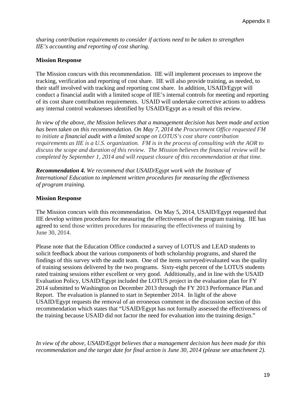*sharing contribution requirements to consider if actions need to be taken to strengthen IIE's accounting and reporting of cost sharing.* 

### **Mission Response**

The Mission concurs with this recommendation. IIE will implement processes to improve the tracking, verification and reporting of cost share. IIE will also provide training, as needed, to their staff involved with tracking and reporting cost share. In addition, USAID/Egypt will conduct a financial audit with a limited scope of IIE's internal controls for meeting and reporting of its cost share contribution requirements. USAID will undertake corrective actions to address any internal control weaknesses identified by USAID/Egypt as a result of this review.

*In view of the above, the Mission believes that a management decision has been made and action has been taken on this recommendation. On May 7, 2014 the Procurement Office requested FM to initiate a financial audit with a limited scope on LOTUS's cost share contribution requirements as IIE is a U.S. organization. FM is in the process of consulting with the AOR to discuss the scope and duration of this review. The Mission believes the financial review will be completed by September 1, 2014 and will request closure of this recommendation at that time.* 

*Recommendation 4. We recommend that USAID/Egypt work with the Institute of International Education to implement written procedures for measuring the effectiveness of program training.* 

#### **Mission Response**

The Mission concurs with this recommendation. On May 5, 2014, USAID/Egypt requested that IIE develop written procedures for measuring the effectiveness of the program training. IIE has agreed to send those written procedures for measuring the effectiveness of training by June 30, 2014.

Please note that the Education Office conducted a survey of LOTUS and LEAD students to solicit feedback about the various components of both scholarship programs, and shared the findings of this survey with the audit team. One of the items surveyed/evaluated was the quality of training sessions delivered by the two programs. Sixty-eight percent of the LOTUS students rated training sessions either excellent or very good. Additionally, and in line with the USAID Evaluation Policy, USAID/Egypt included the LOTUS project in the evaluation plan for FY 2014 submitted to Washington on December 2013 through the FY 2013 Performance Plan and Report. The evaluation is planned to start in September 2014. In light of the above USAID/Egypt requests the removal of an erroneous comment in the discussion section of this recommendation which states that "USAID/Egypt has not formally assessed the effectiveness of the training because USAID did not factor the need for evaluation into the training design."

*In view of the above, USAID/Egypt believes that a management decision has been made for this recommendation and the target date for final action is June 30, 2014 (please see attachment 2).*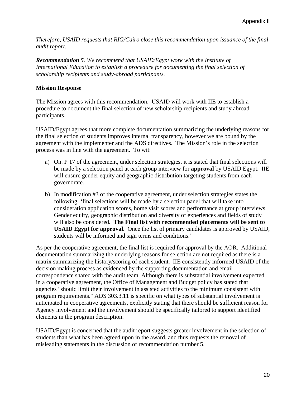*Therefore, USAID requests that RIG/Cairo close this recommendation upon issuance of the final audit report.* 

*Recommendation 5. We recommend that USAID/Egypt work with the Institute of International Education to establish a procedure for documenting the final selection of scholarship recipients and study-abroad participants.* 

#### **Mission Response**

The Mission agrees with this recommendation. USAID will work with IIE to establish a procedure to document the final selection of new scholarship recipients and study abroad participants.

USAID/Egypt agrees that more complete documentation summarizing the underlying reasons for the final selection of students improves internal transparency, however we are bound by the agreement with the implementer and the ADS directives. The Mission's role in the selection process was in line with the agreement. To wit:

- a) On. P 17 of the agreement, under selection strategies, it is stated that final selections will be made by a selection panel at each group interview for **approval** by USAID Egypt. IIE will ensure gender equity and geographic distribution targeting students from each governorate.
- b) In modification #3 of the cooperative agreement, under selection strategies states the following: 'final selections will be made by a selection panel that will take into consideration application scores, home visit scores and performance at group interviews. Gender equity, geographic distribution and diversity of experiences and fields of study will also be considered**. The Final list with recommended placements will be sent to USAID Egypt for approval.** Once the list of primary candidates is approved by USAID, students will be informed and sign terms and conditions.'

As per the cooperative agreement, the final list is required for approval by the AOR. Additional documentation summarizing the underlying reasons for selection are not required as there is a matrix summarizing the history/scoring of each student. IIE consistently informed USAID of the decision making process as evidenced by the supporting documentation and email correspondence shared with the audit team. Although there is substantial involvement expected in a cooperative agreement, the Office of Management and Budget policy has stated that agencies "should limit their involvement in assisted activities to the minimum consistent with program requirements." ADS 303.3.11 is specific on what types of substantial involvement is anticipated in cooperative agreements, explicitly stating that there should be sufficient reason for Agency involvement and the involvement should be specifically tailored to support identified elements in the program description.

USAID/Egypt is concerned that the audit report suggests greater involvement in the selection of students than what has been agreed upon in the award, and thus requests the removal of misleading statements in the discussion of recommendation number 5.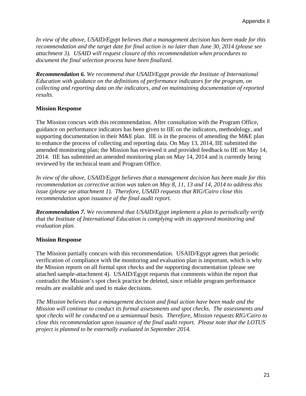*In view of the above, USAID/Egypt believes that a management decision has been made for this recommendation and the target date for final action is no later than June 30, 2014 (please see attachment 3). USAID will request closure of this recommendation when procedures to document the final selection process have been finalized.* 

*Recommendation 6. We recommend that USAID/Egypt provide the Institute of International Education with guidance on the definitions of performance indicators for the program, on collecting and reporting data on the indicators, and on maintaining documentation of reported results.* 

### **Mission Response**

The Mission concurs with this recommendation. After consultation with the Program Office, guidance on performance indicators has been given to IIE on the indicators, methodology, and supporting documentation in their M&E plan. IIE is in the process of amending the M&E plan to enhance the process of collecting and reporting data. On May 13, 2014, IIE submitted the amended monitoring plan; the Mission has reviewed it and provided feedback to IIE on May 14, 2014. IIE has submitted an amended monitoring plan on May 14, 2014 and is currently being reviewed by the technical team and Program Office.

*In view of the above, USAID/Egypt believes that a management decision has been made for this recommendation as corrective action was taken on May 8, 11, 13 and 14, 2014 to address this issue (please see attachment 1). Therefore, USAID requests that RIG/Cairo close this recommendation upon issuance of the final audit report.* 

*Recommendation 7. We recommend that USAID/Egypt implement a plan to periodically verify that the Institute of International Education is complying with its approved monitoring and evaluation plan.* 

#### **Mission Response**

The Mission partially concurs with this recommendation. USAID/Egypt agrees that periodic verification of compliance with the monitoring and evaluation plan is important, which is why the Mission reports on all formal spot checks and the supporting documentation (please see attached sample-attachment 4). USAID/Egypt requests that comments within the report that contradict the Mission's spot check practice be deleted, since reliable program performance results are available and used to make decisions.

*The Mission believes that a management decision and final action have been made and the Mission will continue to conduct its formal assessments and spot checks. The assessments and spot checks will be conducted on a semiannual basis. Therefore, Mission requests RIG/Cairo to close this recommendation upon issuance of the final audit report. Please note that the LOTUS project is planned to be externally evaluated in September 2014.*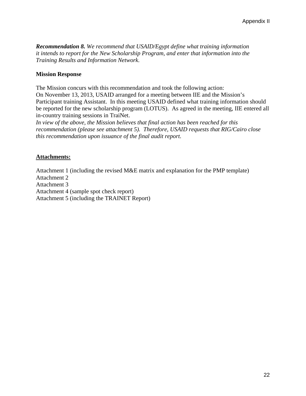*Recommendation 8. We recommend that USAID/Egypt define what training information it intends to report for the New Scholarship Program, and enter that information into the Training Results and Information Network.*

### **Mission Response**

The Mission concurs with this recommendation and took the following action: On November 13, 2013, USAID arranged for a meeting between IIE and the Mission's Participant training Assistant. In this meeting USAID defined what training information should be reported for the new scholarship program (LOTUS). As agreed in the meeting, IIE entered all in-country training sessions in TraiNet.

*In view of the above, the Mission believes that final action has been reached for this recommendation (please see attachment 5). Therefore, USAID requests that RIG/Cairo close this recommendation upon issuance of the final audit report.*

### **Attachments:**

Attachment 1 (including the revised M&E matrix and explanation for the PMP template)

Attachment 2

Attachment 3

Attachment 4 (sample spot check report)

Attachment 5 (including the TRAINET Report)